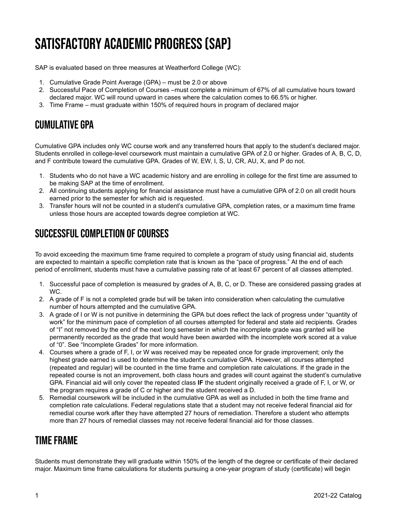# Satisfactory Academic Progress (SAP)

SAP is evaluated based on three measures at Weatherford College (WC):

- 1. Cumulative Grade Point Average (GPA) must be 2.0 or above
- 2. Successful Pace of Completion of Courses –must complete a minimum of 67% of all cumulative hours toward declared major. WC will round upward in cases where the calculation comes to 66.5% or higher.
- 3. Time Frame must graduate within 150% of required hours in program of declared major

# CUMULATIVE GPA

Cumulative GPA includes only WC course work and any transferred hours that apply to the student's declared major. Students enrolled in college-level coursework must maintain a cumulative GPA of 2.0 or higher. Grades of A, B, C, D, and F contribute toward the cumulative GPA. Grades of W, EW, I, S, U, CR, AU, X, and P do not.

- 1. Students who do not have a WC academic history and are enrolling in college for the first time are assumed to be making SAP at the time of enrollment.
- 2. All continuing students applying for financial assistance must have a cumulative GPA of 2.0 on all credit hours earned prior to the semester for which aid is requested.
- 3. Transfer hours will not be counted in a student's cumulative GPA, completion rates, or a maximum time frame unless those hours are accepted towards degree completion at WC.

# SUCCESSFUL COMPLETION OF COURSES

To avoid exceeding the maximum time frame required to complete a program of study using financial aid, students are expected to maintain a specific completion rate that is known as the "pace of progress." At the end of each period of enrollment, students must have a cumulative passing rate of at least 67 percent of all classes attempted.

- 1. Successful pace of completion is measured by grades of A, B, C, or D. These are considered passing grades at WC.
- 2. A grade of F is not a completed grade but will be taken into consideration when calculating the cumulative number of hours attempted and the cumulative GPA.
- 3. A grade of I or W is not punitive in determining the GPA but does reflect the lack of progress under "quantity of work" for the minimum pace of completion of all courses attempted for federal and state aid recipients. Grades of "I" not removed by the end of the next long semester in which the incomplete grade was granted will be permanently recorded as the grade that would have been awarded with the incomplete work scored at a value of "0". See "Incomplete Grades" for more information.
- 4. Courses where a grade of F, I, or W was received may be repeated once for grade improvement; only the highest grade earned is used to determine the student's cumulative GPA. However, all courses attempted (repeated and regular) will be counted in the time frame and completion rate calculations. If the grade in the repeated course is not an improvement, both class hours and grades will count against the student's cumulative GPA. Financial aid will only cover the repeated class **IF** the student originally received a grade of F, I, or W, or the program requires a grade of C or higher and the student received a D.
- 5. Remedial coursework will be included in the cumulative GPA as well as included in both the time frame and completion rate calculations. Federal regulations state that a student may not receive federal financial aid for remedial course work after they have attempted 27 hours of remediation. Therefore a student who attempts more than 27 hours of remedial classes may not receive federal financial aid for those classes.

# TIME FRAME

Students must demonstrate they will graduate within 150% of the length of the degree or certificate of their declared major. Maximum time frame calculations for students pursuing a one-year program of study (certificate) will begin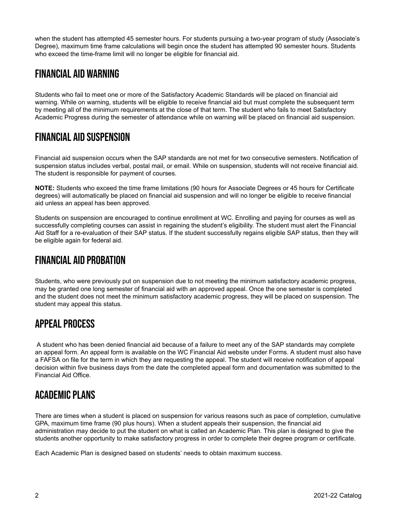when the student has attempted 45 semester hours. For students pursuing a two-year program of study (Associate's Degree), maximum time frame calculations will begin once the student has attempted 90 semester hours. Students who exceed the time-frame limit will no longer be eligible for financial aid.

## FINANCIAL AID WARNING

Students who fail to meet one or more of the Satisfactory Academic Standards will be placed on financial aid warning. While on warning, students will be eligible to receive financial aid but must complete the subsequent term by meeting all of the minimum requirements at the close of that term. The student who fails to meet Satisfactory Academic Progress during the semester of attendance while on warning will be placed on financial aid suspension.

## FINANCIAL AID SUSPENSION

Financial aid suspension occurs when the SAP standards are not met for two consecutive semesters. Notification of suspension status includes verbal, postal mail, or email. While on suspension, students will not receive financial aid. The student is responsible for payment of courses.

**NOTE:** Students who exceed the time frame limitations (90 hours for Associate Degrees or 45 hours for Certificate degrees) will automatically be placed on financial aid suspension and will no longer be eligible to receive financial aid unless an appeal has been approved.

Students on suspension are encouraged to continue enrollment at WC. Enrolling and paying for courses as well as successfully completing courses can assist in regaining the student's eligibility. The student must alert the Financial Aid Staff for a re-evaluation of their SAP status. If the student successfully regains eligible SAP status, then they will be eligible again for federal aid.

## FINANCIAL AID PROBATION

Students, who were previously put on suspension due to not meeting the minimum satisfactory academic progress, may be granted one long semester of financial aid with an approved appeal. Once the one semester is completed and the student does not meet the minimum satisfactory academic progress, they will be placed on suspension. The student may appeal this status.

## APPEAL PROCESS

A student who has been denied financial aid because of a failure to meet any of the SAP standards may complete an appeal form. An appeal form is available on the WC Financial Aid website under Forms. A student must also have a FAFSA on file for the term in which they are requesting the appeal. The student will receive notification of appeal decision within five business days from the date the completed appeal form and documentation was submitted to the Financial Aid Office.

#### ACADEMIC PLANS

There are times when a student is placed on suspension for various reasons such as pace of completion, cumulative GPA, maximum time frame (90 plus hours). When a student appeals their suspension, the financial aid administration may decide to put the student on what is called an Academic Plan. This plan is designed to give the students another opportunity to make satisfactory progress in order to complete their degree program or certificate.

Each Academic Plan is designed based on students' needs to obtain maximum success.